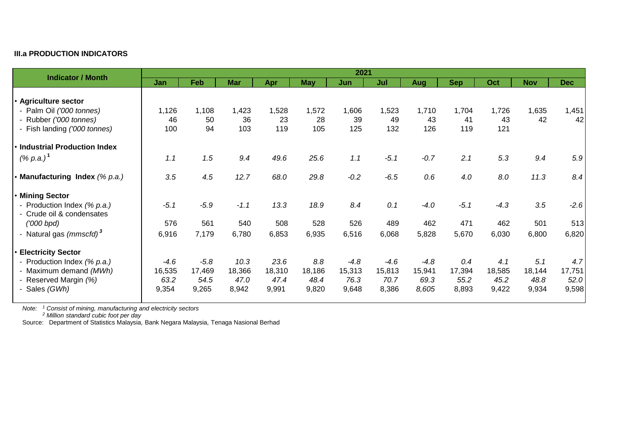## **III.a PRODUCTION INDICATORS**

| <b>Indicator / Month</b>            | 2021   |        |            |        |            |        |        |        |            |        |            |            |
|-------------------------------------|--------|--------|------------|--------|------------|--------|--------|--------|------------|--------|------------|------------|
|                                     | Jan    | Feb    | <b>Mar</b> | Apr    | <b>May</b> | Jun    | Jul    | Aug    | <b>Sep</b> | Oct    | <b>Nov</b> | <b>Dec</b> |
|                                     |        |        |            |        |            |        |        |        |            |        |            |            |
| <b>Agriculture sector</b>           |        |        |            |        |            |        |        |        |            |        |            |            |
| - Palm Oil ('000 tonnes)            | 1,126  | 1,108  | 1,423      | 1,528  | 1,572      | 1,606  | 1,523  | 1,710  | 1,704      | 1,726  | 1,635      | 1,451      |
| - Rubber ('000 tonnes)              | 46     | 50     | 36         | 23     | 28         | 39     | 49     | 43     | 41         | 43     | 42         | 42         |
| - Fish landing ('000 tonnes)        | 100    | 94     | 103        | 119    | 105        | 125    | 132    | 126    | 119        | 121    |            |            |
| <b>Industrial Production Index</b>  |        |        |            |        |            |        |        |        |            |        |            |            |
| $( % p.a.)^1$                       | 1.1    | 1.5    | 9.4        | 49.6   | 25.6       | 1.1    | $-5.1$ | $-0.7$ | 2.1        | 5.3    | 9.4        | 5.9        |
| Manufacturing Index (% p.a.)        | 3.5    | 4.5    | 12.7       | 68.0   | 29.8       | $-0.2$ | $-6.5$ | 0.6    | 4.0        | 8.0    | 11.3       | 8.4        |
|                                     |        |        |            |        |            |        |        |        |            |        |            |            |
| <b>Mining Sector</b>                |        |        |            |        |            |        |        |        |            |        |            |            |
| - Production Index (% p.a.)         | $-5.1$ | $-5.9$ | $-1.1$     | 13.3   | 18.9       | 8.4    | 0.1    | $-4.0$ | $-5.1$     | $-4.3$ | 3.5        | $-2.6$     |
| - Crude oil & condensates           |        |        |            |        |            |        |        |        |            |        |            |            |
| (000 b <sub>pd</sub> )              | 576    | 561    | 540        | 508    | 528        | 526    | 489    | 462    | 471        | 462    | 501        | 513        |
| - Natural gas (mmscfd) <sup>3</sup> | 6,916  | 7,179  | 6,780      | 6,853  | 6,935      | 6,516  | 6,068  | 5,828  | 5,670      | 6,030  | 6,800      | 6,820      |
| <b>Electricity Sector</b>           |        |        |            |        |            |        |        |        |            |        |            |            |
| - Production Index (% p.a.)         | $-4.6$ | $-5.8$ | 10.3       | 23.6   | 8.8        | $-4.8$ | $-4.6$ | $-4.8$ | 0.4        | 4.1    | 5.1        | 4.7        |
| - Maximum demand (MWh)              | 16,535 | 17,469 | 18,366     | 18,310 | 18,186     | 15,313 | 15,813 | 15,941 | 17,394     | 18,585 | 18,144     | 17,751     |
| - Reserved Margin (%)               | 63.2   | 54.5   | 47.0       | 47.4   | 48.4       | 76.3   | 70.7   | 69.3   | 55.2       | 45.2   | 48.8       | 52.0       |
| - Sales (GWh)                       | 9,354  | 9,265  | 8,942      | 9,991  | 9,820      | 9,648  | 8,386  | 8,605  | 8,893      | 9,422  | 9,934      | 9,598      |

*Note: <sup>1</sup> Consist of mining, manufacturing and electricity sectors*

*Note: <sup>2</sup> Million standard cubic foot per day*

Source: Department of Statistics Malaysia, Bank Negara Malaysia, Tenaga Nasional Berhad